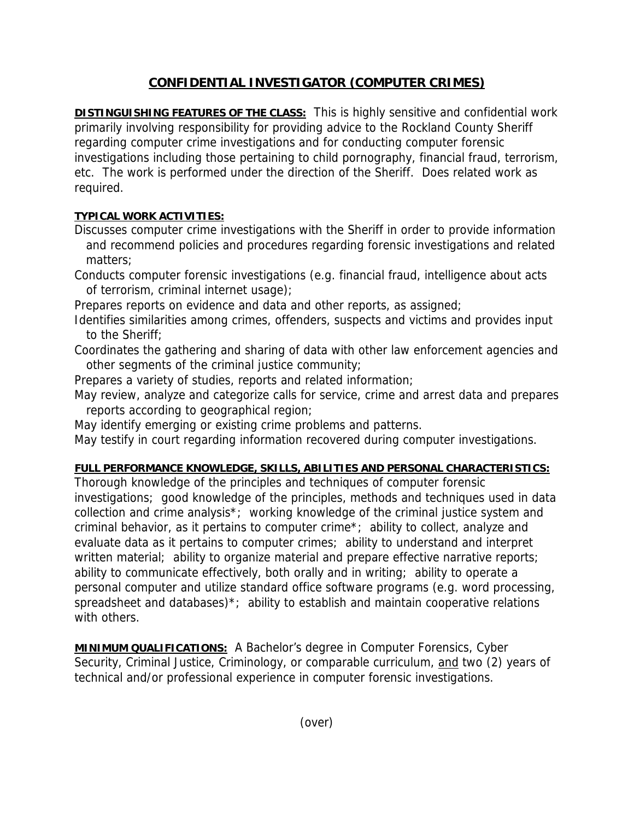# **CONFIDENTIAL INVESTIGATOR (COMPUTER CRIMES)**

**DISTINGUISHING FEATURES OF THE CLASS:** This is highly sensitive and confidential work primarily involving responsibility for providing advice to the Rockland County Sheriff regarding computer crime investigations and for conducting computer forensic investigations including those pertaining to child pornography, financial fraud, terrorism, etc. The work is performed under the direction of the Sheriff. Does related work as required.

### **TYPICAL WORK ACTIVITIES:**

- Discusses computer crime investigations with the Sheriff in order to provide information and recommend policies and procedures regarding forensic investigations and related matters;
- Conducts computer forensic investigations (e.g. financial fraud, intelligence about acts of terrorism, criminal internet usage);
- Prepares reports on evidence and data and other reports, as assigned;
- Identifies similarities among crimes, offenders, suspects and victims and provides input to the Sheriff;
- Coordinates the gathering and sharing of data with other law enforcement agencies and other segments of the criminal justice community;
- Prepares a variety of studies, reports and related information;
- May review, analyze and categorize calls for service, crime and arrest data and prepares reports according to geographical region;
- May identify emerging or existing crime problems and patterns.
- May testify in court regarding information recovered during computer investigations.

## **FULL PERFORMANCE KNOWLEDGE, SKILLS, ABILITIES AND PERSONAL CHARACTERISTICS:**

Thorough knowledge of the principles and techniques of computer forensic investigations; good knowledge of the principles, methods and techniques used in data collection and crime analysis\*; working knowledge of the criminal justice system and criminal behavior, as it pertains to computer crime\*; ability to collect, analyze and evaluate data as it pertains to computer crimes; ability to understand and interpret written material; ability to organize material and prepare effective narrative reports; ability to communicate effectively, both orally and in writing; ability to operate a personal computer and utilize standard office software programs (e.g. word processing, spreadsheet and databases)<sup>\*</sup>; ability to establish and maintain cooperative relations with others.

**MINIMUM QUALIFICATIONS:** A Bachelor's degree in Computer Forensics, Cyber Security, Criminal Justice, Criminology, or comparable curriculum, and two (2) years of technical and/or professional experience in computer forensic investigations.